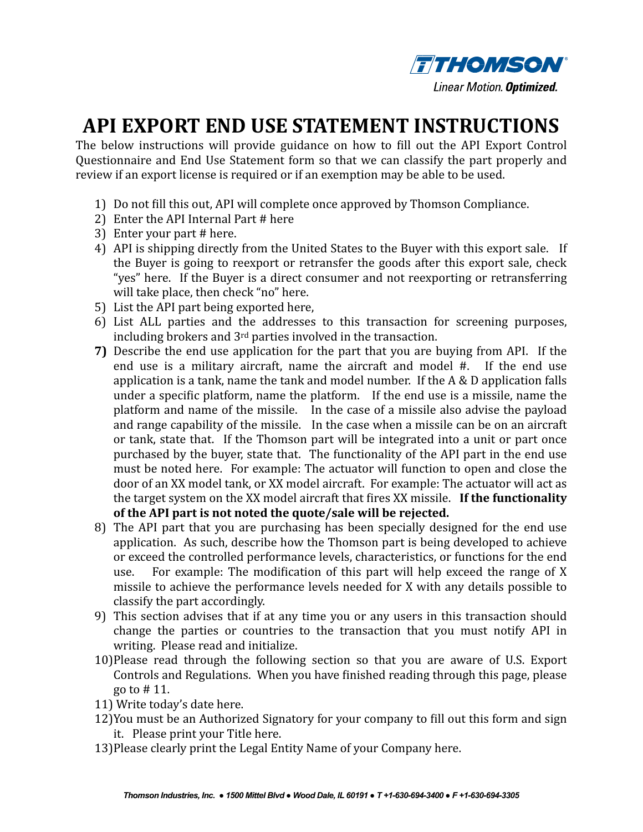

## **API EXPORT END USE STATEMENT INSTRUCTIONS**

The below instructions will provide guidance on how to fill out the API Export Control Questionnaire and End Use Statement form so that we can classify the part properly and review if an export license is required or if an exemption may be able to be used.

- 1) Do not fill this out, API will complete once approved by Thomson Compliance.
- 2) Enter the API Internal Part  $#$  here
- 3) Enter your part # here.
- 4) API is shipping directly from the United States to the Buyer with this export sale. If the Buyer is going to reexport or retransfer the goods after this export sale, check "yes" here. If the Buyer is a direct consumer and not reexporting or retransferring will take place, then check "no" here.
- 5) List the API part being exported here,
- 6) List ALL parties and the addresses to this transaction for screening purposes, including brokers and  $3<sup>rd</sup>$  parties involved in the transaction.
- **7)** Describe the end use application for the part that you are buying from API. If the end use is a military aircraft, name the aircraft and model  $#$ . If the end use application is a tank, name the tank and model number. If the  $A \& D$  application falls under a specific platform, name the platform. If the end use is a missile, name the platform and name of the missile. In the case of a missile also advise the payload and range capability of the missile. In the case when a missile can be on an aircraft or tank, state that. If the Thomson part will be integrated into a unit or part once purchased by the buyer, state that. The functionality of the API part in the end use must be noted here. For example: The actuator will function to open and close the door of an XX model tank, or XX model aircraft. For example: The actuator will act as the target system on the XX model aircraft that fires XX missile. **If the functionality** of the API part is not noted the quote/sale will be rejected.
- 8) The API part that you are purchasing has been specially designed for the end use application. As such, describe how the Thomson part is being developed to achieve or exceed the controlled performance levels, characteristics, or functions for the end use. For example: The modification of this part will help exceed the range of X missile to achieve the performance levels needed for X with any details possible to classify the part accordingly.
- 9) This section advises that if at any time you or any users in this transaction should change the parties or countries to the transaction that you must notify API in writing. Please read and initialize.
- 10)Please read through the following section so that you are aware of U.S. Export Controls and Regulations. When you have finished reading through this page, please go to  $# 11$ .
- 11) Write today's date here.
- 12)You must be an Authorized Signatory for your company to fill out this form and sign it. Please print your Title here.
- 13) Please clearly print the Legal Entity Name of your Company here.